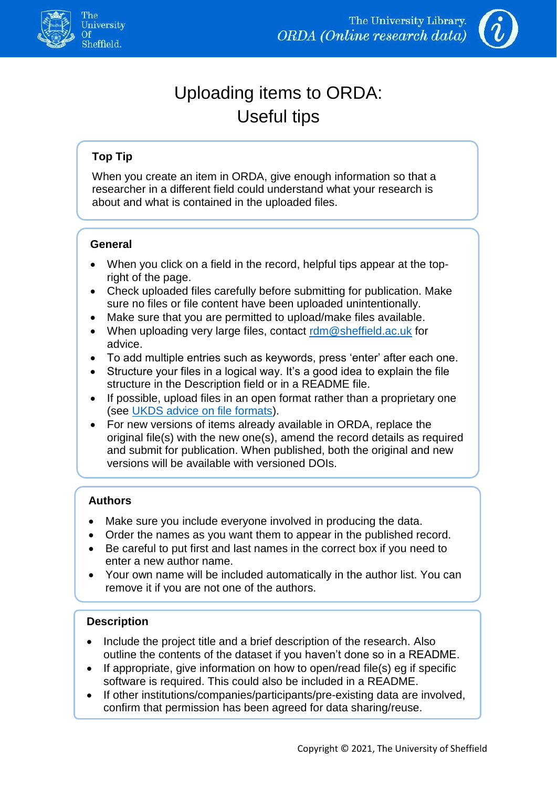



# Uploading items to ORDA: Useful tips

# **Top Tip**

When you create an item in ORDA, give enough information so that a researcher in a different field could understand what your research is about and what is contained in the uploaded files.

# **General**

- When you click on a field in the record, helpful tips appear at the topright of the page.
- Check uploaded files carefully before submitting for publication. Make sure no files or file content have been uploaded unintentionally.
- Make sure that you are permitted to upload/make files available.
- When uploading very large files, contact  $\mathop{rdm}\nolimits\mathcal{Q}$  sheffield.ac.uk for advice.
- To add multiple entries such as keywords, press 'enter' after each one.
- Structure your files in a logical way. It's a good idea to explain the file structure in the Description field or in a README file.
- If possible, upload files in an open format rather than a proprietary one (see [UKDS advice on file formats\)](https://www.ukdataservice.ac.uk/manage-data/format/recommended-formats.aspx).
- For new versions of items already available in ORDA, replace the original file(s) with the new one(s), amend the record details as required and submit for publication. When published, both the original and new versions will be available with versioned DOIs.

# **Authors**

- Make sure you include everyone involved in producing the data.
- Order the names as you want them to appear in the published record.
- Be careful to put first and last names in the correct box if you need to enter a new author name.
- Your own name will be included automatically in the author list. You can remove it if you are not one of the authors.

## **Description**

ł

- Include the project title and a brief description of the research. Also outline the contents of the dataset if you haven't done so in a README.
- If appropriate, give information on how to open/read file(s) eg if specific software is required. This could also be included in a README.
- If other institutions/companies/participants/pre-existing data are involved, confirm that permission has been agreed for data sharing/reuse.